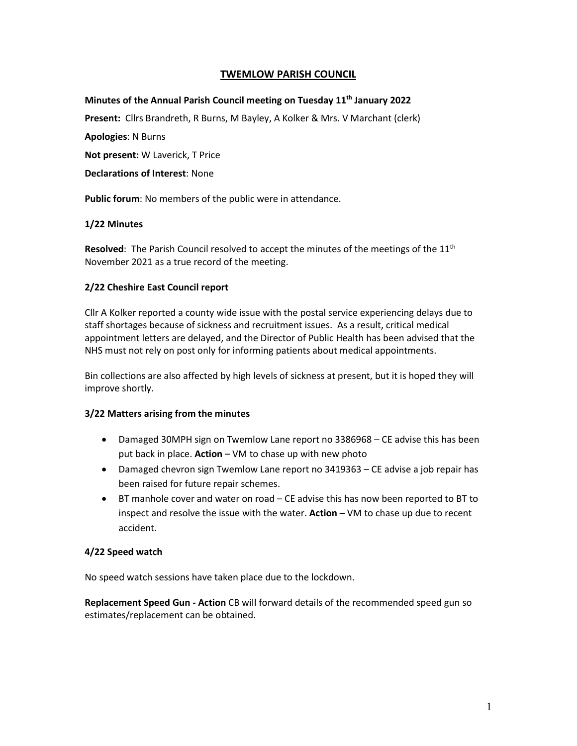# **TWEMLOW PARISH COUNCIL**

# **Minutes of the Annual Parish Council meeting on Tuesday 11th January 2022**

**Present:** Cllrs Brandreth, R Burns, M Bayley, A Kolker & Mrs. V Marchant (clerk)

**Apologies**: N Burns

**Not present:** W Laverick, T Price

**Declarations of Interest**: None

**Public forum**: No members of the public were in attendance.

#### **1/22 Minutes**

**Resolved:** The Parish Council resolved to accept the minutes of the meetings of the 11<sup>th</sup> November 2021 as a true record of the meeting.

#### **2/22 Cheshire East Council report**

Cllr A Kolker reported a county wide issue with the postal service experiencing delays due to staff shortages because of sickness and recruitment issues. As a result, critical medical appointment letters are delayed, and the Director of Public Health has been advised that the NHS must not rely on post only for informing patients about medical appointments.

Bin collections are also affected by high levels of sickness at present, but it is hoped they will improve shortly.

#### **3/22 Matters arising from the minutes**

- Damaged 30MPH sign on Twemlow Lane report no 3386968 CE advise this has been put back in place. **Action** – VM to chase up with new photo
- Damaged chevron sign Twemlow Lane report no 3419363 CE advise a job repair has been raised for future repair schemes.
- BT manhole cover and water on road CE advise this has now been reported to BT to inspect and resolve the issue with the water. **Action** – VM to chase up due to recent accident.

### **4/22 Speed watch**

No speed watch sessions have taken place due to the lockdown.

**Replacement Speed Gun - Action** CB will forward details of the recommended speed gun so estimates/replacement can be obtained.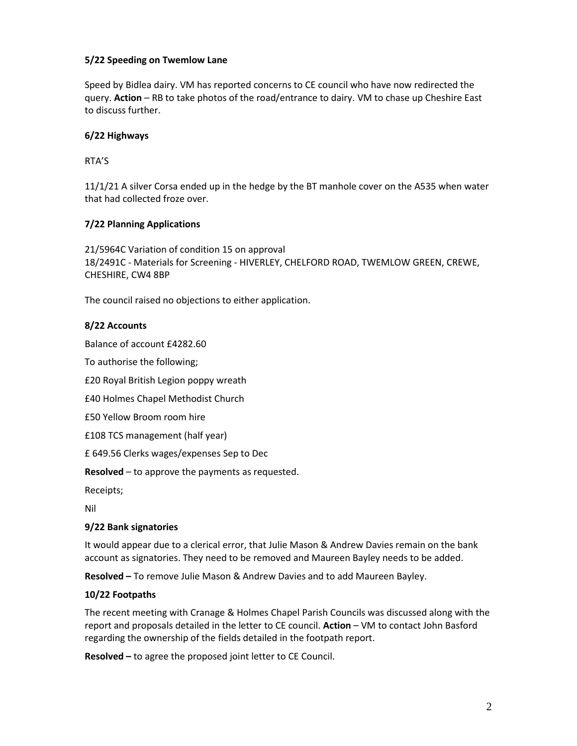# **5/22 Speeding on Twemlow Lane**

Speed by Bidlea dairy. VM has reported concerns to CE council who have now redirected the query. **Action** – RB to take photos of the road/entrance to dairy. VM to chase up Cheshire East to discuss further.

# **6/22 Highways**

RTA'S

11/1/21 A silver Corsa ended up in the hedge by the BT manhole cover on the A535 when water that had collected froze over.

# **7/22 Planning Applications**

21/5964C Variation of condition 15 on approval 18/2491C - Materials for Screening - HIVERLEY, CHELFORD ROAD, TWEMLOW GREEN, CREWE, CHESHIRE, CW4 8BP

The council raised no objections to either application.

### **8/22 Accounts**

Balance of account £4282.60

To authorise the following;

£20 Royal British Legion poppy wreath

£40 Holmes Chapel Methodist Church

£50 Yellow Broom room hire

£108 TCS management (half year)

£ 649.56 Clerks wages/expenses Sep to Dec

**Resolved** – to approve the payments as requested.

Receipts;

Nil

### **9/22 Bank signatories**

It would appear due to a clerical error, that Julie Mason & Andrew Davies remain on the bank account as signatories. They need to be removed and Maureen Bayley needs to be added.

**Resolved –** To remove Julie Mason & Andrew Davies and to add Maureen Bayley.

### **10/22 Footpaths**

The recent meeting with Cranage & Holmes Chapel Parish Councils was discussed along with the report and proposals detailed in the letter to CE council. **Action** – VM to contact John Basford regarding the ownership of the fields detailed in the footpath report.

**Resolved –** to agree the proposed joint letter to CE Council.